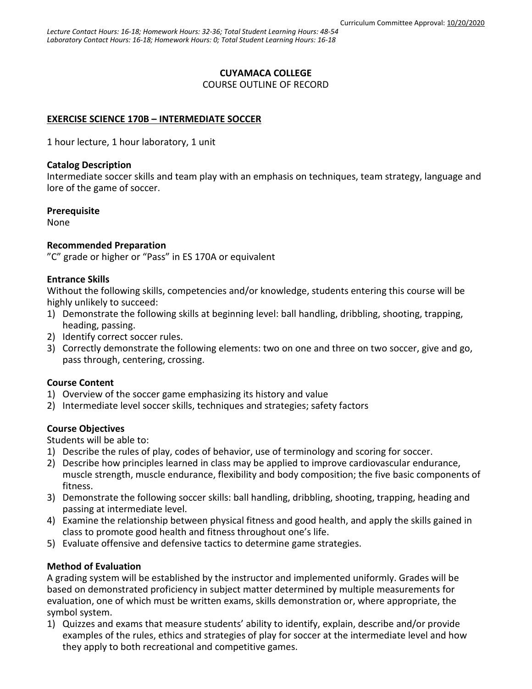## **CUYAMACA COLLEGE**

COURSE OUTLINE OF RECORD

# **EXERCISE SCIENCE 170B – INTERMEDIATE SOCCER**

1 hour lecture, 1 hour laboratory, 1 unit

### **Catalog Description**

Intermediate soccer skills and team play with an emphasis on techniques, team strategy, language and lore of the game of soccer.

### **Prerequisite**

None

## **Recommended Preparation**

"C" grade or higher or "Pass" in ES 170A or equivalent

### **Entrance Skills**

Without the following skills, competencies and/or knowledge, students entering this course will be highly unlikely to succeed:

- 1) Demonstrate the following skills at beginning level: ball handling, dribbling, shooting, trapping, heading, passing.
- 2) Identify correct soccer rules.
- 3) Correctly demonstrate the following elements: two on one and three on two soccer, give and go, pass through, centering, crossing.

## **Course Content**

- 1) Overview of the soccer game emphasizing its history and value
- 2) Intermediate level soccer skills, techniques and strategies; safety factors

## **Course Objectives**

Students will be able to:

- 1) Describe the rules of play, codes of behavior, use of terminology and scoring for soccer.
- 2) Describe how principles learned in class may be applied to improve cardiovascular endurance, muscle strength, muscle endurance, flexibility and body composition; the five basic components of fitness.
- 3) Demonstrate the following soccer skills: ball handling, dribbling, shooting, trapping, heading and passing at intermediate level.
- 4) Examine the relationship between physical fitness and good health, and apply the skills gained in class to promote good health and fitness throughout one's life.
- 5) Evaluate offensive and defensive tactics to determine game strategies.

## **Method of Evaluation**

A grading system will be established by the instructor and implemented uniformly. Grades will be based on demonstrated proficiency in subject matter determined by multiple measurements for evaluation, one of which must be written exams, skills demonstration or, where appropriate, the symbol system.

1) Quizzes and exams that measure students' ability to identify, explain, describe and/or provide examples of the rules, ethics and strategies of play for soccer at the intermediate level and how they apply to both recreational and competitive games.